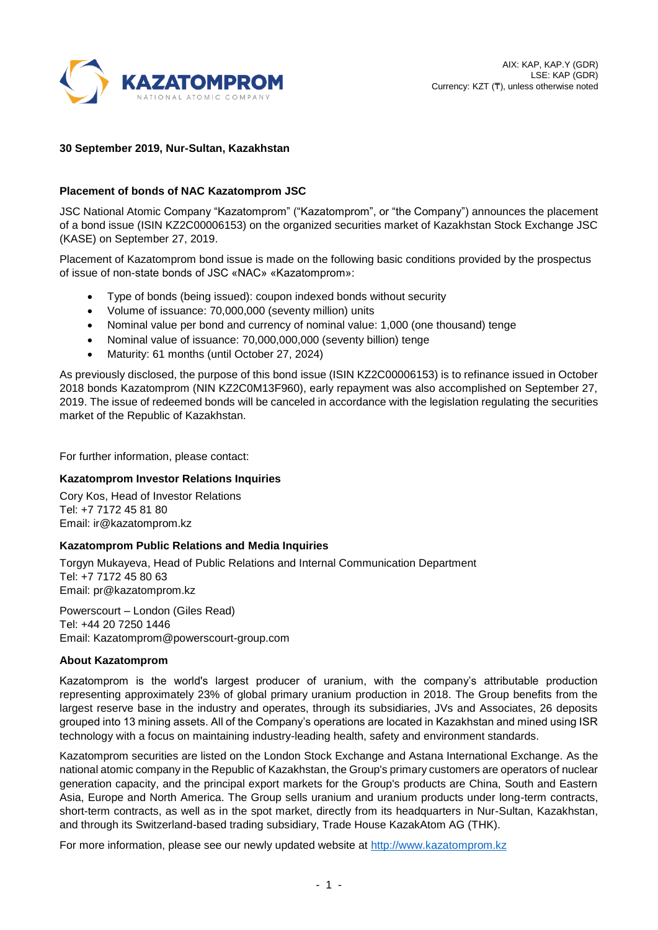

# **30 September 2019, Nur-Sultan, Kazakhstan**

# **Placement of bonds of NAC Kazatomprom JSC**

JSC National Atomic Company "Kazatomprom" ("Kazatomprom", or "the Company") announces the placement of a bond issue (ISIN KZ2C00006153) on the organized securities market of Kazakhstan Stock Exchange JSC (KASE) on September 27, 2019.

Placement of Kazatomprom bond issue is made on the following basic conditions provided by the prospectus of issue of non-state bonds of JSC «NAC» «Kazatomprom»:

- Type of bonds (being issued): coupon indexed bonds without security
- Volume of issuance: 70,000,000 (seventy million) units
- Nominal value per bond and currency of nominal value: 1,000 (one thousand) tenge
- Nominal value of issuance: 70,000,000,000 (seventy billion) tenge
- Maturity: 61 months (until October 27, 2024)

As previously disclosed, the purpose of this bond issue (ISIN KZ2C00006153) is to refinance issued in October 2018 bonds Kazatomprom (NIN KZ2C0M13F960), early repayment was also accomplished on September 27, 2019. The issue of redeemed bonds will be canceled in accordance with the legislation regulating the securities market of the Republic of Kazakhstan.

For further information, please contact:

## **Kazatomprom Investor Relations Inquiries**

Cory Kos, Head of Investor Relations Tel: +7 7172 45 81 80 Email: ir@kazatomprom.kz

## **Kazatomprom Public Relations and Media Inquiries**

Torgyn Mukayeva, Head of Public Relations and Internal Communication Department Tel: +7 7172 45 80 63 Email: [pr@kazatomprom.kz](mailto:pr@kazatomprom.kz)

Powerscourt – London (Giles Read) Tel: +44 20 7250 1446 Email: Kazatomprom@powerscourt-group.com

## **About Kazatomprom**

Kazatomprom is the world's largest producer of uranium, with the company's attributable production representing approximately 23% of global primary uranium production in 2018. The Group benefits from the largest reserve base in the industry and operates, through its subsidiaries, JVs and Associates, 26 deposits grouped into 13 mining assets. All of the Company's operations are located in Kazakhstan and mined using ISR technology with a focus on maintaining industry-leading health, safety and environment standards.

Kazatomprom securities are listed on the London Stock Exchange and Astana International Exchange. As the national atomic company in the Republic of Kazakhstan, the Group's primary customers are operators of nuclear generation capacity, and the principal export markets for the Group's products are China, South and Eastern Asia, Europe and North America. The Group sells uranium and uranium products under long-term contracts, short-term contracts, as well as in the spot market, directly from its headquarters in Nur-Sultan, Kazakhstan, and through its Switzerland-based trading subsidiary, Trade House KazakAtom AG (THK).

For more information, please see our newly updated website at [http://www.kazatomprom.kz](http://www.kazatomprom.kz/)